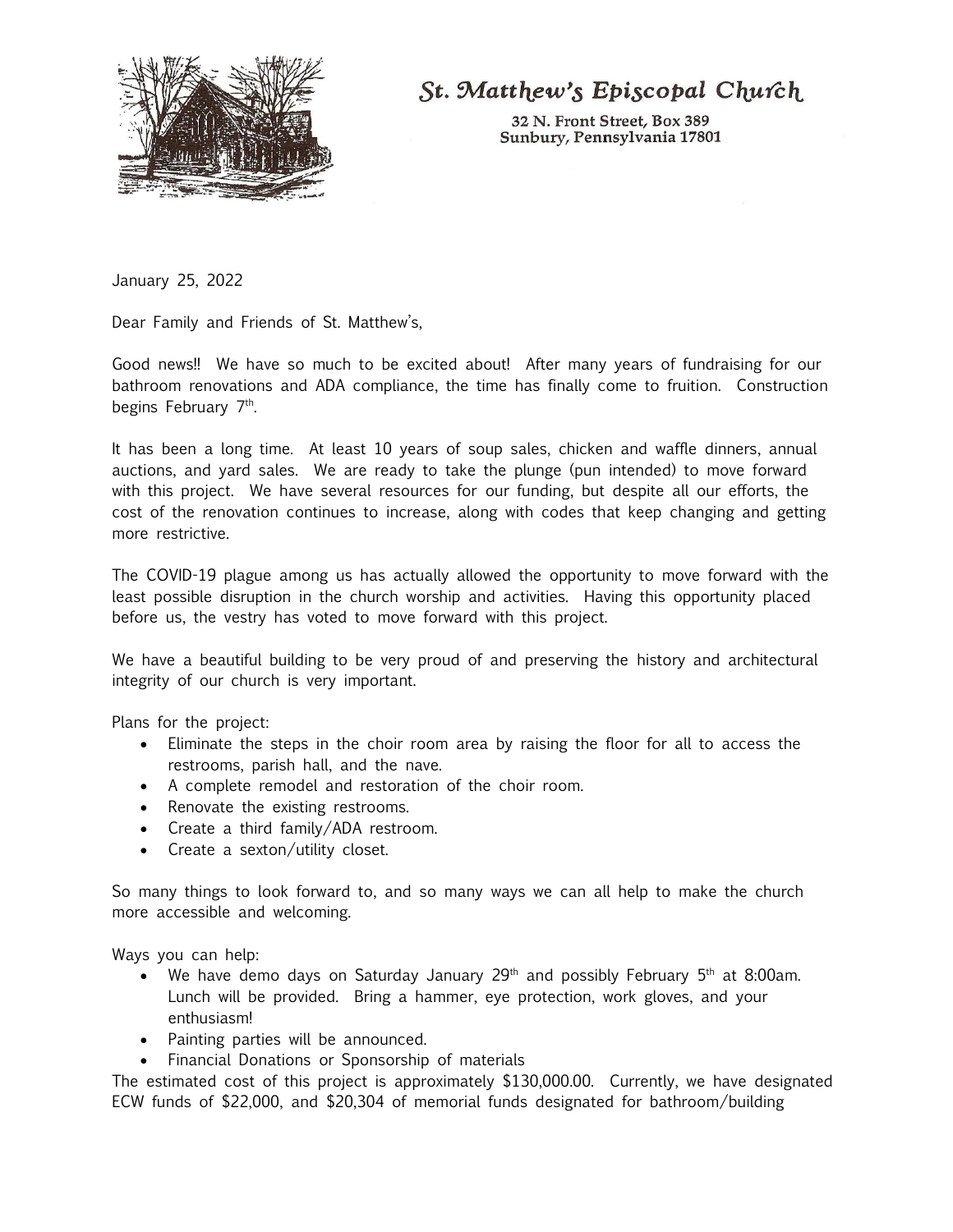

St. Matthew's Episcopal Church

32 N. Front Street, Box 389 Sunbury, Pennsylvania 17801

January 25, 2022

Dear Family and Friends of St. Matthew's,

Good news!! We have so much to be excited about! After many years of fundraising for our bathroom renovations and ADA compliance, the time has finally come to fruition. Construction begins February 7<sup>th</sup>.

It has been a long time. At least 10 years of soup sales, chicken and waffle dinners, annual auctions, and yard sales. We are ready to take the plunge (pun intended) to move forward with this project. We have several resources for our funding, but despite all our efforts, the cost of the renovation continues to increase, along with codes that keep changing and getting more restrictive.

The COVID-19 plague among us has actually allowed the opportunity to move forward with the least possible disruption in the church worship and activities. Having this opportunity placed before us, the vestry has voted to move forward with this project.

We have a beautiful building to be very proud of and preserving the history and architectural integrity of our church is very important.

Plans for the project:

- Eliminate the steps in the choir room area by raising the floor for all to access the restrooms, parish hall, and the nave.
- A complete remodel and restoration of the choir room.
- Renovate the existing restrooms.
- Create a third family/ADA restroom.
- Create a sexton/utility closet.

So many things to look forward to, and so many ways we can all help to make the church more accessible and welcoming.

Ways you can help:

- We have demo days on Saturday January  $29<sup>th</sup>$  and possibly February  $5<sup>th</sup>$  at 8:00am. Lunch will be provided. Bring a hammer, eye protection, work gloves, and your enthusiasm!
- Painting parties will be announced.
- Financial Donations or Sponsorship of materials

The estimated cost of this project is approximately \$130,000.00. Currently, we have designated ECW funds of \$22,000, and \$20,304 of memorial funds designated for bathroom/building